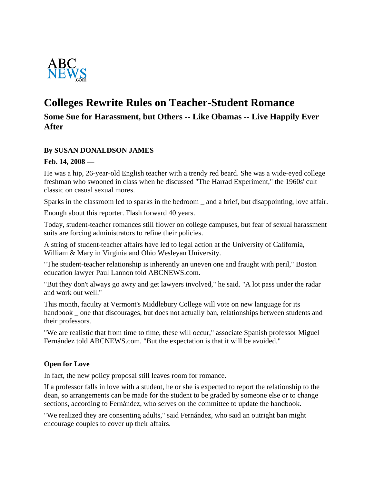

# **Colleges Rewrite Rules on Teacher-Student Romance**

## **Some Sue for Harassment, but Others -- Like Obamas -- Live Happily Ever After**

### **By SUSAN DONALDSON JAMES**

#### **Feb. 14, 2008 —**

He was a hip, 26-year-old English teacher with a trendy red beard. She was a wide-eyed college freshman who swooned in class when he discussed "The Harrad Experiment," the 1960s' cult classic on casual sexual mores.

Sparks in the classroom led to sparks in the bedroom \_ and a brief, but disappointing, love affair.

Enough about this reporter. Flash forward 40 years.

Today, student-teacher romances still flower on college campuses, but fear of sexual harassment suits are forcing administrators to refine their policies.

A string of student-teacher affairs have led to legal action at the University of California, William & Mary in Virginia and Ohio Wesleyan University.

"The student-teacher relationship is inherently an uneven one and fraught with peril," Boston education lawyer Paul Lannon told ABCNEWS.com.

"But they don't always go awry and get lawyers involved," he said. "A lot pass under the radar and work out well."

This month, faculty at Vermont's Middlebury College will vote on new language for its handbook \_ one that discourages, but does not actually ban, relationships between students and their professors.

"We are realistic that from time to time, these will occur," associate Spanish professor Miguel Fernández told ABCNEWS.com. "But the expectation is that it will be avoided."

#### **Open for Love**

In fact, the new policy proposal still leaves room for romance.

If a professor falls in love with a student, he or she is expected to report the relationship to the dean, so arrangements can be made for the student to be graded by someone else or to change sections, according to Fernández, who serves on the committee to update the handbook.

"We realized they are consenting adults," said Fernández, who said an outright ban might encourage couples to cover up their affairs.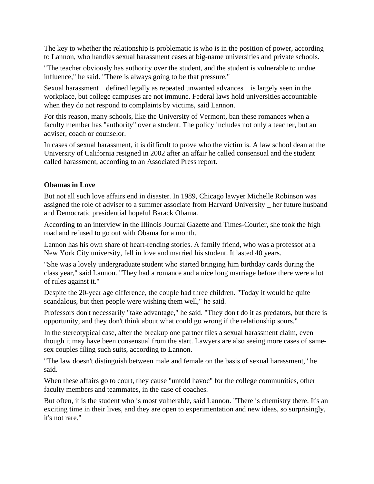The key to whether the relationship is problematic is who is in the position of power, according to Lannon, who handles sexual harassment cases at big-name universities and private schools.

"The teacher obviously has authority over the student, and the student is vulnerable to undue influence," he said. "There is always going to be that pressure."

Sexual harassment \_ defined legally as repeated unwanted advances \_ is largely seen in the workplace, but college campuses are not immune. Federal laws hold universities accountable when they do not respond to complaints by victims, said Lannon.

For this reason, many schools, like the University of Vermont, ban these romances when a faculty member has "authority" over a student. The policy includes not only a teacher, but an adviser, coach or counselor.

In cases of sexual harassment, it is difficult to prove who the victim is. A law school dean at the University of California resigned in 2002 after an affair he called consensual and the student called harassment, according to an Associated Press report.

#### **Obamas in Love**

But not all such love affairs end in disaster. In 1989, Chicago lawyer Michelle Robinson was assigned the role of adviser to a summer associate from Harvard University \_ her future husband and Democratic presidential hopeful Barack Obama.

According to an interview in the Illinois Journal Gazette and Times-Courier, she took the high road and refused to go out with Obama for a month.

Lannon has his own share of heart-rending stories. A family friend, who was a professor at a New York City university, fell in love and married his student. It lasted 40 years.

"She was a lovely undergraduate student who started bringing him birthday cards during the class year," said Lannon. "They had a romance and a nice long marriage before there were a lot of rules against it."

Despite the 20-year age difference, the couple had three children. "Today it would be quite scandalous, but then people were wishing them well," he said.

Professors don't necessarily "take advantage," he said. "They don't do it as predators, but there is opportunity, and they don't think about what could go wrong if the relationship sours."

In the stereotypical case, after the breakup one partner files a sexual harassment claim, even though it may have been consensual from the start. Lawyers are also seeing more cases of samesex couples filing such suits, according to Lannon.

"The law doesn't distinguish between male and female on the basis of sexual harassment," he said.

When these affairs go to court, they cause "untold havoc" for the college communities, other faculty members and teammates, in the case of coaches.

But often, it is the student who is most vulnerable, said Lannon. "There is chemistry there. It's an exciting time in their lives, and they are open to experimentation and new ideas, so surprisingly, it's not rare."